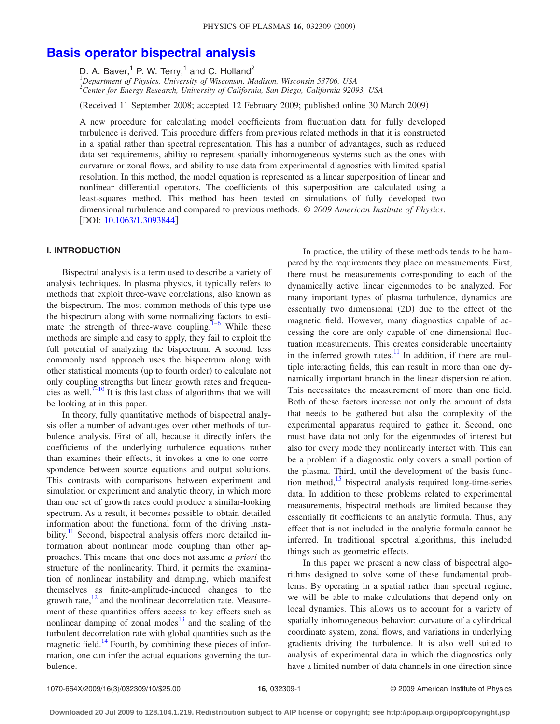# **[Basis operator bispectral analysis](http://dx.doi.org/10.1063/1.3093844)**

D. A. Baver,<sup>1</sup> P. W. Terry,<sup>1</sup> and C. Holland<sup>2</sup>

1 *Department of Physics, University of Wisconsin, Madison, Wisconsin 53706, USA* 2 *Center for Energy Research, University of California, San Diego, California 92093, USA*

(Received 11 September 2008; accepted 12 February 2009; published online 30 March 2009)

A new procedure for calculating model coefficients from fluctuation data for fully developed turbulence is derived. This procedure differs from previous related methods in that it is constructed in a spatial rather than spectral representation. This has a number of advantages, such as reduced data set requirements, ability to represent spatially inhomogeneous systems such as the ones with curvature or zonal flows, and ability to use data from experimental diagnostics with limited spatial resolution. In this method, the model equation is represented as a linear superposition of linear and nonlinear differential operators. The coefficients of this superposition are calculated using a least-squares method. This method has been tested on simulations of fully developed two dimensional turbulence and compared to previous methods. © *2009 American Institute of Physics*. [DOI: [10.1063/1.3093844](http://dx.doi.org/10.1063/1.3093844)]

# **I. INTRODUCTION**

Bispectral analysis is a term used to describe a variety of analysis techniques. In plasma physics, it typically refers to methods that exploit three-wave correlations, also known as the bispectrum. The most common methods of this type use the bispectrum along with some normalizing factors to esti-mate the strength of three-wave coupling.<sup>1–[6](#page-9-1)</sup> While these methods are simple and easy to apply, they fail to exploit the full potential of analyzing the bispectrum. A second, less commonly used approach uses the bispectrum along with other statistical moments (up to fourth order) to calculate not only coupling strengths but linear growth rates and frequencies as well.<sup> $7-10$ </sup> It is this last class of algorithms that we will be looking at in this paper.

In theory, fully quantitative methods of bispectral analysis offer a number of advantages over other methods of turbulence analysis. First of all, because it directly infers the coefficients of the underlying turbulence equations rather than examines their effects, it invokes a one-to-one correspondence between source equations and output solutions. This contrasts with comparisons between experiment and simulation or experiment and analytic theory, in which more than one set of growth rates could produce a similar-looking spectrum. As a result, it becomes possible to obtain detailed information about the functional form of the driving instability.<sup>11</sup> Second, bispectral analysis offers more detailed information about nonlinear mode coupling than other approaches. This means that one does not assume *a priori* the structure of the nonlinearity. Third, it permits the examination of nonlinear instability and damping, which manifest themselves as finite-amplitude-induced changes to the growth rate, $\frac{12}{2}$  and the nonlinear decorrelation rate. Measurement of these quantities offers access to key effects such as nonlinear damping of zonal modes $13$  and the scaling of the turbulent decorrelation rate with global quantities such as the magnetic field.<sup>14</sup> Fourth, by combining these pieces of information, one can infer the actual equations governing the turbulence.

In practice, the utility of these methods tends to be hampered by the requirements they place on measurements. First, there must be measurements corresponding to each of the dynamically active linear eigenmodes to be analyzed. For many important types of plasma turbulence, dynamics are essentially two dimensional (2D) due to the effect of the magnetic field. However, many diagnostics capable of accessing the core are only capable of one dimensional fluctuation measurements. This creates considerable uncertainty in the inferred growth rates. $\frac{11}{11}$  In addition, if there are multiple interacting fields, this can result in more than one dynamically important branch in the linear dispersion relation. This necessitates the measurement of more than one field. Both of these factors increase not only the amount of data that needs to be gathered but also the complexity of the experimental apparatus required to gather it. Second, one must have data not only for the eigenmodes of interest but also for every mode they nonlinearly interact with. This can be a problem if a diagnostic only covers a small portion of the plasma. Third, until the development of the basis function method,<sup>15</sup> bispectral analysis required long-time-series data. In addition to these problems related to experimental measurements, bispectral methods are limited because they essentially fit coefficients to an analytic formula. Thus, any effect that is not included in the analytic formula cannot be inferred. In traditional spectral algorithms, this included things such as geometric effects.

In this paper we present a new class of bispectral algorithms designed to solve some of these fundamental problems. By operating in a spatial rather than spectral regime, we will be able to make calculations that depend only on local dynamics. This allows us to account for a variety of spatially inhomogeneous behavior: curvature of a cylindrical coordinate system, zonal flows, and variations in underlying gradients driving the turbulence. It is also well suited to analysis of experimental data in which the diagnostics only have a limited number of data channels in one direction since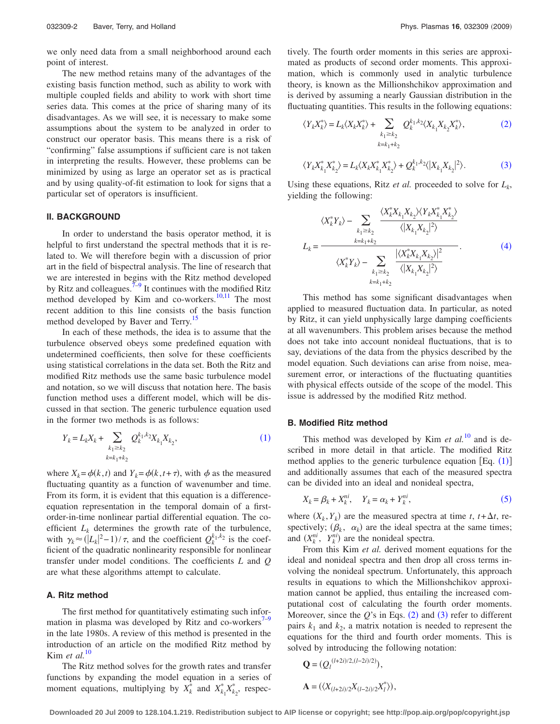we only need data from a small neighborhood around each point of interest.

The new method retains many of the advantages of the existing basis function method, such as ability to work with multiple coupled fields and ability to work with short time series data. This comes at the price of sharing many of its disadvantages. As we will see, it is necessary to make some assumptions about the system to be analyzed in order to construct our operator basis. This means there is a risk of "confirming" false assumptions if sufficient care is not taken in interpreting the results. However, these problems can be minimized by using as large an operator set as is practical and by using quality-of-fit estimation to look for signs that a particular set of operators is insufficient.

## **II. BACKGROUND**

In order to understand the basis operator method, it is helpful to first understand the spectral methods that it is related to. We will therefore begin with a discussion of prior art in the field of bispectral analysis. The line of research that we are interested in begins with the Ritz method developed by Ritz and colleagues.<sup> $7-9$ </sup> It continues with the modified Ritz method developed by Kim and co-workers.<sup>10[,11](#page-9-4)</sup> The most recent addition to this line consists of the basis function method developed by Baver and Terry.<sup>15</sup>

In each of these methods, the idea is to assume that the turbulence observed obeys some predefined equation with undetermined coefficients, then solve for these coefficients using statistical correlations in the data set. Both the Ritz and modified Ritz methods use the same basic turbulence model and notation, so we will discuss that notation here. The basis function method uses a different model, which will be discussed in that section. The generic turbulence equation used in the former two methods is as follows:

<span id="page-1-0"></span>
$$
Y_k = L_k X_k + \sum_{\substack{k_1 \ge k_2 \\ k = k_1 + k_2}} Q_k^{k_1, k_2} X_{k_1} X_{k_2},\tag{1}
$$

where  $X_k = \phi(k, t)$  and  $Y_k = \phi(k, t + \tau)$ , with  $\phi$  as the measured fluctuating quantity as a function of wavenumber and time. From its form, it is evident that this equation is a differenceequation representation in the temporal domain of a firstorder-in-time nonlinear partial differential equation. The coefficient  $L_k$  determines the growth rate of the turbulence, with  $\gamma_k \approx (|L_k|^2 - 1)/\tau$ , and the coefficient  $Q_k^{k_1, k_2}$  is the coefficient of the quadratic nonlinearity responsible for nonlinear transfer under model conditions. The coefficients *L* and *Q* are what these algorithms attempt to calculate.

### **A. Ritz method**

The first method for quantitatively estimating such infor-mation in plasma was developed by Ritz and co-workers<sup>7–[9](#page-9-9)</sup> in the late 1980s. A review of this method is presented in the introduction of an article on the modified Ritz method by Kim *et al.*[10](#page-9-3)

The Ritz method solves for the growth rates and transfer functions by expanding the model equation in a series of moment equations, multiplying by  $X_k^*$  and  $X_{k_1}^* X_{k_2}^*$ , respectively. The fourth order moments in this series are approximated as products of second order moments. This approximation, which is commonly used in analytic turbulence theory, is known as the Millionshchikov approximation and is derived by assuming a nearly Gaussian distribution in the fluctuating quantities. This results in the following equations:

<span id="page-1-1"></span>
$$
\langle Y_k X_k^* \rangle = L_k \langle X_k X_k^* \rangle + \sum_{\substack{k_1 \ge k_2 \\ k = k_1 + k_2}} Q_k^{k_1, k_2} \langle X_{k_1} X_{k_2} X_k^* \rangle, \tag{2}
$$

<span id="page-1-2"></span>
$$
\langle Y_k X_{k_1}^* X_{k_2}^* \rangle = L_k \langle X_k X_{k_1}^* X_{k_2}^* \rangle + Q_k^{k_1, k_2} \langle |X_{k_1} X_{k_2}|^2 \rangle.
$$
 (3)

Using these equations, Ritz *et al.* proceeded to solve for  $L_k$ , yielding the following:

<span id="page-1-3"></span>
$$
\langle X_{k}^{*} Y_{k} \rangle - \sum_{k_{1} \ge k_{2}} \frac{\langle X_{k}^{*} X_{k_{1}} X_{k_{2}} \rangle \langle Y_{k} X_{k_{1}}^{*} X_{k_{2}}^{*} \rangle}{\langle |X_{k_{1}} X_{k_{2}}|^{2} \rangle}
$$

$$
L_{k} = \frac{\langle X_{k}^{*} Y_{k} \rangle - \sum_{k_{1} \ge k_{2}} \frac{|\langle X_{k}^{*} X_{k_{1}} X_{k_{2}} \rangle|^{2}}{\langle |X_{k_{1}} X_{k_{2}}|^{2} \rangle}}{\langle |X_{k_{1}} X_{k_{2}}|^{2} \rangle}.
$$
(4)

This method has some significant disadvantages when applied to measured fluctuation data. In particular, as noted by Ritz, it can yield unphysically large damping coefficients at all wavenumbers. This problem arises because the method does not take into account nonideal fluctuations, that is to say, deviations of the data from the physics described by the model equation. Such deviations can arise from noise, measurement error, or interactions of the fluctuating quantities with physical effects outside of the scope of the model. This issue is addressed by the modified Ritz method.

#### **B. Modified Ritz method**

This method was developed by Kim  $et al.<sup>10</sup>$  $et al.<sup>10</sup>$  $et al.<sup>10</sup>$  and is described in more detail in that article. The modified Ritz method applies to the generic turbulence equation  $[Eq. (1)]$  $[Eq. (1)]$  $[Eq. (1)]$ and additionally assumes that each of the measured spectra can be divided into an ideal and nonideal spectra,

$$
X_k = \beta_k + X_k^{ni}, \quad Y_k = \alpha_k + Y_k^{ni}, \tag{5}
$$

<span id="page-1-4"></span>where  $(X_k, Y_k)$  are the measured spectra at time *t*,  $t + \Delta t$ , respectively;  $(\beta_k, \alpha_k)$  are the ideal spectra at the same times; and  $(X_k^{ni}, Y_k^{ni})$  are the nonideal spectra.

From this Kim *et al.* derived moment equations for the ideal and nonideal spectra and then drop all cross terms involving the nonideal spectrum. Unfortunately, this approach results in equations to which the Millionshchikov approximation cannot be applied, thus entailing the increased computational cost of calculating the fourth order moments. Moreover, since the  $Q$ 's in Eqs.  $(2)$  $(2)$  $(2)$  and  $(3)$  $(3)$  $(3)$  refer to different pairs  $k_1$  and  $k_2$ , a matrix notation is needed to represent the equations for the third and fourth order moments. This is solved by introducing the following notation:

$$
Q = (Q_l^{(l+2i)/2,(l-2i)/2)}),
$$
  
 
$$
A = (\langle X_{(l+2i)/2} X_{(l-2i)/2} X_l^* \rangle),
$$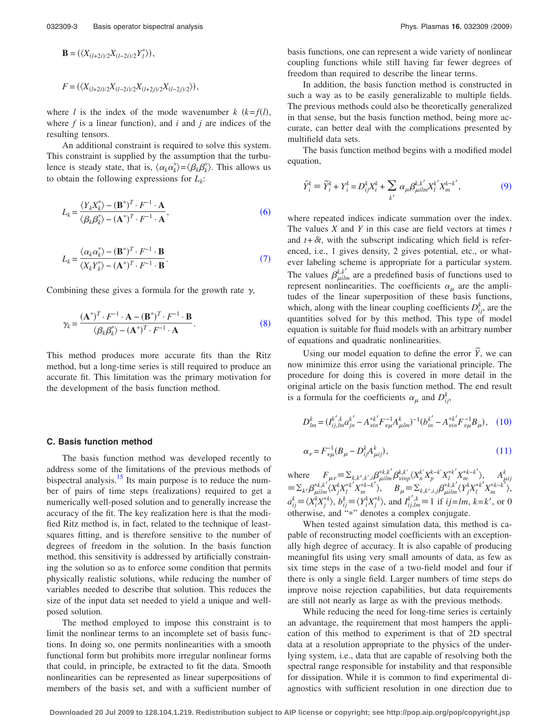$$
B = (\langle X_{(l+2i)/2}X_{(l-2i)/2}Y_l^* \rangle),
$$
  

$$
F = (\langle X_{(l+2i)/2}X_{(l-2i)/2}X_{(l+2j)/2}X_{(l-2j)/2} \rangle),
$$

where *l* is the index of the mode wavenumber  $k$  ( $k = f(l)$ , where  $f$  is a linear function), and  $i$  and  $j$  are indices of the resulting tensors.

An additional constraint is required to solve this system. This constraint is supplied by the assumption that the turbulence is steady state, that is,  $\langle \alpha_k \alpha_k^* \rangle = \langle \beta_k \beta_k^* \rangle$ . This allows us to obtain the following expressions for  $L_k$ :

<span id="page-2-0"></span>
$$
L_k = \frac{\langle Y_k X_k^* \rangle - (\mathbf{B}^*)^T \cdot F^{-1} \cdot \mathbf{A}}{\langle \beta_k \beta_k^* \rangle - (\mathbf{A}^*)^T \cdot F^{-1} \cdot \mathbf{A}},\tag{6}
$$

<span id="page-2-1"></span>
$$
L_k = \frac{\langle \alpha_k \alpha_k^* \rangle - (\mathbf{B}^*)^T \cdot F^{-1} \cdot \mathbf{B}}{\langle X_k Y_k^* \rangle - (\mathbf{A}^*)^T \cdot F^{-1} \cdot \mathbf{B}}.
$$
\n(7)

<span id="page-2-2"></span>Combining these gives a formula for the growth rate  $\gamma$ ,

$$
\gamma_k = \frac{(\mathbf{A}^*)^T \cdot \mathbf{F}^{-1} \cdot \mathbf{A} - (\mathbf{B}^*)^T \cdot \mathbf{F}^{-1} \cdot \mathbf{B}}{\langle \beta_k \beta_k^* \rangle - (\mathbf{A}^*)^T \cdot \mathbf{F}^{-1} \cdot \mathbf{A}}.
$$
 (8)

This method produces more accurate fits than the Ritz method, but a long-time series is still required to produce an accurate fit. This limitation was the primary motivation for the development of the basis function method.

#### **C. Basis function method**

The basis function method was developed recently to address some of the limitations of the previous methods of bispectral analysis.<sup>15</sup> Its main purpose is to reduce the number of pairs of time steps (realizations) required to get a numerically well-posed solution and to generally increase the accuracy of the fit. The key realization here is that the modified Ritz method is, in fact, related to the technique of leastsquares fitting, and is therefore sensitive to the number of degrees of freedom in the solution. In the basis function method, this sensitivity is addressed by artificially constraining the solution so as to enforce some condition that permits physically realistic solutions, while reducing the number of variables needed to describe that solution. This reduces the size of the input data set needed to yield a unique and wellposed solution.

The method employed to impose this constraint is to limit the nonlinear terms to an incomplete set of basis functions. In doing so, one permits nonlinearities with a smooth functional form but prohibits more irregular nonlinear forms that could, in principle, be extracted to fit the data. Smooth nonlinearities can be represented as linear superpositions of members of the basis set, and with a sufficient number of basis functions, one can represent a wide variety of nonlinear coupling functions while still having far fewer degrees of freedom than required to describe the linear terms.

In addition, the basis function method is constructed in such a way as to be easily generalizable to multiple fields. The previous methods could also be theoretically generalized in that sense, but the basis function method, being more accurate, can better deal with the complications presented by multifield data sets.

The basis function method begins with a modified model equation,

<span id="page-2-3"></span>
$$
\hat{Y}_i^k \equiv \widetilde{Y}_i^k + Y_i^k = D_{ij}^k X_i^k + \sum_{k'} \alpha_{\mu} \beta_{\mu \text{lim}}^{k,k'} X_l^{k-k'}, \tag{9}
$$

where repeated indices indicate summation over the index. The values *X* and *Y* in this case are field vectors at times *t* and  $t + \delta t$ , with the subscript indicating which field is referenced, i.e., 1 gives density, 2 gives potential, etc., or whatever labeling scheme is appropriate for a particular system. The values  $\beta_{\mu i l m}^{k, k'}$  are a predefined basis of functions used to represent nonlinearities. The coefficients  $\alpha_{\mu}$  are the amplitudes of the linear superposition of these basis functions, which, along with the linear coupling coefficients  $D_{ij}^k$ , are the quantities solved for by this method. This type of model equation is suitable for fluid models with an arbitrary number of equations and quadratic nonlinearities.

Using our model equation to define the error  $\tilde{Y}$ , we can now minimize this error using the variational principle. The procedure for doing this is covered in more detail in the original article on the basis function method. The end result is a formula for the coefficients  $\alpha_{\mu}$  and  $D_{ij}^{k}$ ,

<span id="page-2-4"></span>
$$
D_{lm}^{k} = (I_{ij,lm}^{k',k} a_{jn}^{k'} - A_{\nu in}^{*k'} F_{\nu\mu}^{-1} A_{\mu lm}^{k})^{-1} (b_{in}^{k'} - A_{\nu in}^{*k'} F_{\nu\mu}^{-1} B_{\mu}), \quad (10)
$$

<span id="page-2-5"></span>
$$
\alpha_{\nu} = F_{\nu\mu}^{-1} (B_{\mu} - D_{ij}^k A_{\mu ij}^k),
$$
\n(11)

where  $F_{\mu\nu} = \sum_{k,k',k',l} \beta_{\mu l l m}^{*k,k'} \beta_{\nu i n p}^{k,k'} \langle X_n^{k'} X_p^{k-k'} X_l^{*k'} X_m^{*k-k'} \rangle$ ,  $A_{\mu i j}^k$  $\equiv \sum_{k'} \beta^{*k, k'}_{\mu i l m} \langle X^k_j X^{*k'}_l X^{*k-k'}_m \rangle, \quad B_\mu \equiv \sum_{k, k', i, j} \beta^{*k, k'}_{\mu i l m} \langle Y^k_j X^{*k'}_l X^{*k-k'}_m \rangle,$  $a_{ij}^k \equiv \langle X_i^k X_j^* \rangle$ ,  $b_{ij}^k \equiv \langle Y_i^k X_j^* \rangle$ , and  $I_{ij,lm}^{k',k} \equiv 1$  if  $ij = lm$ ,  $k = k'$ , or 0 otherwise, and "\*" denotes a complex conjugate.

When tested against simulation data, this method is capable of reconstructing model coefficients with an exceptionally high degree of accuracy. It is also capable of producing meaningful fits using very small amounts of data, as few as six time steps in the case of a two-field model and four if there is only a single field. Larger numbers of time steps do improve noise rejection capabilities, but data requirements are still not nearly as large as with the previous methods.

While reducing the need for long-time series is certainly an advantage, the requirement that most hampers the application of this method to experiment is that of 2D spectral data at a resolution appropriate to the physics of the underlying system, i.e., data that are capable of resolving both the spectral range responsible for instability and that responsible for dissipation. While it is common to find experimental diagnostics with sufficient resolution in one direction due to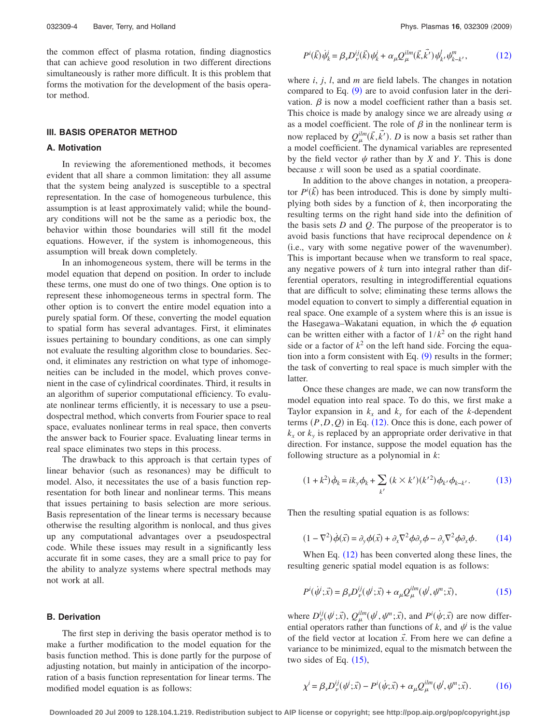the common effect of plasma rotation, finding diagnostics that can achieve good resolution in two different directions simultaneously is rather more difficult. It is this problem that forms the motivation for the development of the basis operator method.

#### **III. BASIS OPERATOR METHOD**

## **A. Motivation**

In reviewing the aforementioned methods, it becomes evident that all share a common limitation: they all assume that the system being analyzed is susceptible to a spectral representation. In the case of homogeneous turbulence, this assumption is at least approximately valid; while the boundary conditions will not be the same as a periodic box, the behavior within those boundaries will still fit the model equations. However, if the system is inhomogeneous, this assumption will break down completely.

In an inhomogeneous system, there will be terms in the model equation that depend on position. In order to include these terms, one must do one of two things. One option is to represent these inhomogeneous terms in spectral form. The other option is to convert the entire model equation into a purely spatial form. Of these, converting the model equation to spatial form has several advantages. First, it eliminates issues pertaining to boundary conditions, as one can simply not evaluate the resulting algorithm close to boundaries. Second, it eliminates any restriction on what type of inhomogeneities can be included in the model, which proves convenient in the case of cylindrical coordinates. Third, it results in an algorithm of superior computational efficiency. To evaluate nonlinear terms efficiently, it is necessary to use a pseudospectral method, which converts from Fourier space to real space, evaluates nonlinear terms in real space, then converts the answer back to Fourier space. Evaluating linear terms in real space eliminates two steps in this process.

The drawback to this approach is that certain types of linear behavior (such as resonances) may be difficult to model. Also, it necessitates the use of a basis function representation for both linear and nonlinear terms. This means that issues pertaining to basis selection are more serious. Basis representation of the linear terms is necessary because otherwise the resulting algorithm is nonlocal, and thus gives up any computational advantages over a pseudospectral code. While these issues may result in a significantly less accurate fit in some cases, they are a small price to pay for the ability to analyze systems where spectral methods may not work at all.

### **B. Derivation**

The first step in deriving the basis operator method is to make a further modification to the model equation for the basis function method. This is done partly for the purpose of adjusting notation, but mainly in anticipation of the incorporation of a basis function representation for linear terms. The modified model equation is as follows:

<span id="page-3-0"></span>
$$
P^{i}(\vec{k})\dot{\psi}_{k}^{i} = \beta_{\nu}D_{\nu}^{ij}(\vec{k})\psi_{k}^{j} + \alpha_{\mu}Q_{\mu}^{ilm}(\vec{k},\vec{k'})\psi_{k'}^{l}\psi_{k-k'}^{m}, \qquad (12)
$$

where *i*, *j*, *l*, and *m* are field labels. The changes in notation compared to Eq.  $(9)$  $(9)$  $(9)$  are to avoid confusion later in the derivation.  $\beta$  is now a model coefficient rather than a basis set. This choice is made by analogy since we are already using  $\alpha$ as a model coefficient. The role of  $\beta$  in the nonlinear term is now replaced by  $Q_{\mu}^{ilm}(\vec{k}, \vec{k'})$ . *D* is now a basis set rather than a model coefficient. The dynamical variables are represented by the field vector  $\psi$  rather than by *X* and *Y*. This is done because *x* will soon be used as a spatial coordinate.

In addition to the above changes in notation, a preoperator  $P^i(\vec{k})$  has been introduced. This is done by simply multiplying both sides by a function of *k*, then incorporating the resulting terms on the right hand side into the definition of the basis sets *D* and *Q*. The purpose of the preoperator is to avoid basis functions that have reciprocal dependence on *k* (i.e., vary with some negative power of the wavenumber). This is important because when we transform to real space, any negative powers of *k* turn into integral rather than differential operators, resulting in integrodifferential equations that are difficult to solve; eliminating these terms allows the model equation to convert to simply a differential equation in real space. One example of a system where this is an issue is the Hasegawa–Wakatani equation, in which the  $\phi$  equation can be written either with a factor of  $1/k^2$  on the right hand side or a factor of  $k^2$  on the left hand side. Forcing the equation into a form consistent with Eq.  $(9)$  $(9)$  $(9)$  results in the former; the task of converting to real space is much simpler with the latter.

Once these changes are made, we can now transform the model equation into real space. To do this, we first make a Taylor expansion in  $k_x$  and  $k_y$  for each of the *k*-dependent terms  $(P, D, Q)$  in Eq.  $(12)$  $(12)$  $(12)$ . Once this is done, each power of  $k_x$  or  $k_y$  is replaced by an appropriate order derivative in that direction. For instance, suppose the model equation has the following structure as a polynomial in *k*:

<span id="page-3-1"></span>
$$
(1 + k^2)\dot{\phi}_k = ik_y \phi_k + \sum_{k'} (k \times k')(k'^2) \phi_{k'} \phi_{k-k'}.
$$
 (13)

<span id="page-3-2"></span>Then the resulting spatial equation is as follows:

$$
(1 - \nabla^2)\dot{\phi}(\vec{x}) = \partial_y \phi(\vec{x}) + \partial_x \nabla^2 \phi \partial_y \phi - \partial_y \nabla^2 \phi \partial_x \phi. \tag{14}
$$

When Eq.  $(12)$  $(12)$  $(12)$  has been converted along these lines, the resulting generic spatial model equation is as follows:

<span id="page-3-3"></span>
$$
P^i(\dot{\psi}^i; \vec{x}) = \beta_\nu D_\nu^{ij}(\psi^i; \vec{x}) + \alpha_\mu Q_\mu^{ilm}(\psi^j, \psi^m; \vec{x}),\tag{15}
$$

where  $D_{\nu}^{ij}(\psi^i; \vec{x})$ ,  $Q_{\mu}^{ilm}(\psi^j, \psi^m; \vec{x})$ , and  $P^i(\psi; \vec{x})$  are now differential operators rather than functions of k, and  $\psi$  is the value of the field vector at location  $\vec{x}$ . From here we can define a variance to be minimized, equal to the mismatch between the two sides of Eq.  $(15)$  $(15)$  $(15)$ ,

<span id="page-3-4"></span>
$$
\chi^i = \beta_\nu D_\nu^{ij}(\psi^i; \vec{x}) - P^i(\psi; \vec{x}) + \alpha_\mu Q_\mu^{ilm}(\psi^j, \psi^n; \vec{x}). \tag{16}
$$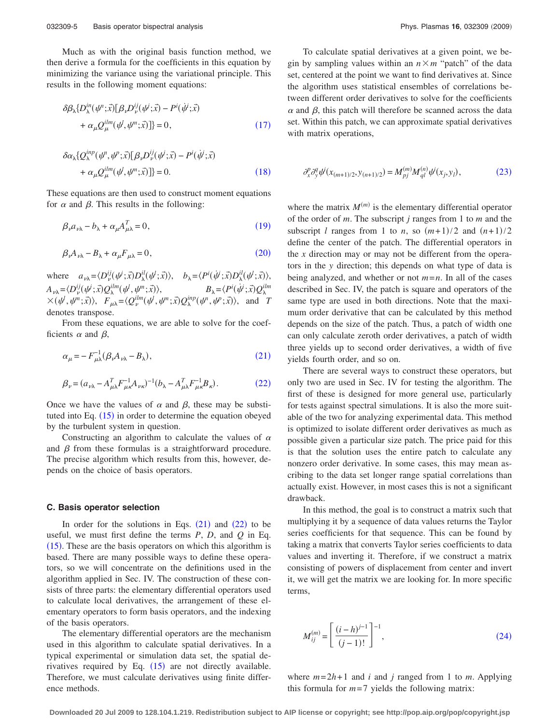Much as with the original basis function method, we then derive a formula for the coefficients in this equation by minimizing the variance using the variational principle. This results in the following moment equations:

<span id="page-4-0"></span>
$$
\delta \beta_{\lambda} \{ D_{\lambda}^{in}(\psi^n; \vec{x}) [\beta_{\nu} D_{\nu}^{ij}(\psi^i; \vec{x}) - P^i(\dot{\psi}^i; \vec{x})
$$
  
+  $\alpha_{\mu} Q_{\mu}^{ilm}(\psi^j, \psi^m; \vec{x}) ] \} = 0,$  (17)

<span id="page-4-1"></span>
$$
\delta \alpha_{\lambda} \{ Q_{\lambda}^{inp}(\psi^p, \psi^p; \vec{x}) [\beta_{\nu} D_{\nu}^{ij}(\psi^i; \vec{x}) - P^i(\dot{\psi}^i; \vec{x})
$$
  
+  $\alpha_{\mu} Q_{\mu}^{ilm}(\psi^j, \psi^m; \vec{x}) ] \} = 0.$  (18)

These equations are then used to construct moment equations for  $\alpha$  and  $\beta$ . This results in the following:

<span id="page-4-2"></span>
$$
\beta_{\nu} a_{\nu\lambda} - b_{\lambda} + \alpha_{\mu} A_{\mu\lambda}^T = 0, \qquad (19)
$$

<span id="page-4-3"></span>
$$
\beta_{\nu} A_{\nu\lambda} - B_{\lambda} + \alpha_{\mu} F_{\mu\lambda} = 0, \qquad (20)
$$

where  $a_{\nu\lambda} = \langle D_{\nu}^{ij}(\psi^i; \vec{x}) D_{\lambda}^{il}(\psi^i; \vec{x}) \rangle, \quad b_{\lambda} = \langle P^i(\psi^i; \vec{x}) D_{\lambda}^{il}(\psi^i; \vec{x}) \rangle,$  $A_{\nu\lambda} = \langle D_{\nu}^{ij}(\psi^j; \vec{x})Q_{\lambda}^{ilm}(\psi^j, \psi^m; \vec{x}) \rangle,$   $B_{\lambda} = \langle P^i(\psi^j; \vec{x})Q_{\lambda}^{ilm}$  $\times$   $(\psi^l, \psi^m; \vec{x})$ ,  $F_{\mu\lambda} = \langle Q_{\nu}^{ilm}(\psi^l, \psi^m; \vec{x}) Q_{\lambda}^{inp}(\psi^n, \psi^p; \vec{x}) \rangle$ , and *T* denotes transpose.

From these equations, we are able to solve for the coefficients  $\alpha$  and  $\beta$ ,

<span id="page-4-4"></span>
$$
\alpha_{\mu} = -F_{\mu\lambda}^{-1} (\beta_{\nu} A_{\nu\lambda} - B_{\lambda}), \qquad (21)
$$

<span id="page-4-5"></span>
$$
\beta_{\nu} = (a_{\nu\lambda} - A_{\mu\lambda}^T F_{\mu\kappa}^{-1} A_{\nu\kappa})^{-1} (b_{\lambda} - A_{\mu\lambda}^T F_{\mu\kappa}^{-1} B_{\kappa}).
$$
\n(22)

Once we have the values of  $\alpha$  and  $\beta$ , these may be substituted into Eq.  $(15)$  $(15)$  $(15)$  in order to determine the equation obeyed by the turbulent system in question.

Constructing an algorithm to calculate the values of  $\alpha$ and  $\beta$  from these formulas is a straightforward procedure. The precise algorithm which results from this, however, depends on the choice of basis operators.

#### **C. Basis operator selection**

In order for the solutions in Eqs.  $(21)$  $(21)$  $(21)$  and  $(22)$  $(22)$  $(22)$  to be useful, we must first define the terms *P*, *D*, and *Q* in Eq.  $(15)$  $(15)$  $(15)$ . These are the basis operators on which this algorithm is based. There are many possible ways to define these operators, so we will concentrate on the definitions used in the algorithm applied in Sec. IV. The construction of these consists of three parts: the elementary differential operators used to calculate local derivatives, the arrangement of these elementary operators to form basis operators, and the indexing of the basis operators.

The elementary differential operators are the mechanism used in this algorithm to calculate spatial derivatives. In a typical experimental or simulation data set, the spatial derivatives required by Eq.  $(15)$  $(15)$  $(15)$  are not directly available. Therefore, we must calculate derivatives using finite difference methods.

To calculate spatial derivatives at a given point, we begin by sampling values within an  $n \times m$  "patch" of the data set, centered at the point we want to find derivatives at. Since the algorithm uses statistical ensembles of correlations between different order derivatives to solve for the coefficients  $\alpha$  and  $\beta$ , this patch will therefore be scanned across the data set. Within this patch, we can approximate spatial derivatives with matrix operations,

<span id="page-4-6"></span>
$$
\partial_x^p \partial_y^q \psi^j(x_{(m+1)/2}, y_{(n+1)/2}) = M_{pj}^{(m)} M_{ql}^{(n)} \psi^j(x_j, y_l),\tag{23}
$$

where the matrix  $M^{(m)}$  is the elementary differential operator of the order of *m*. The subscript *j* ranges from 1 to *m* and the subscript *l* ranges from 1 to *n*, so  $(m+1)/2$  and  $(n+1)/2$ define the center of the patch. The differential operators in the *x* direction may or may not be different from the operators in the *y* direction; this depends on what type of data is being analyzed, and whether or not  $m=n$ . In all of the cases described in Sec. IV, the patch is square and operators of the same type are used in both directions. Note that the maximum order derivative that can be calculated by this method depends on the size of the patch. Thus, a patch of width one can only calculate zeroth order derivatives, a patch of width three yields up to second order derivatives, a width of five yields fourth order, and so on.

There are several ways to construct these operators, but only two are used in Sec. IV for testing the algorithm. The first of these is designed for more general use, particularly for tests against spectral simulations. It is also the more suitable of the two for analyzing experimental data. This method is optimized to isolate different order derivatives as much as possible given a particular size patch. The price paid for this is that the solution uses the entire patch to calculate any nonzero order derivative. In some cases, this may mean ascribing to the data set longer range spatial correlations than actually exist. However, in most cases this is not a significant drawback.

In this method, the goal is to construct a matrix such that multiplying it by a sequence of data values returns the Taylor series coefficients for that sequence. This can be found by taking a matrix that converts Taylor series coefficients to data values and inverting it. Therefore, if we construct a matrix consisting of powers of displacement from center and invert it, we will get the matrix we are looking for. In more specific terms,

<span id="page-4-7"></span>
$$
M_{ij}^{(m)} = \left[ \frac{(i-h)^{j-1}}{(j-1)!} \right]^{-1},\tag{24}
$$

where  $m = 2h + 1$  and *i* and *j* ranged from 1 to *m*. Applying this formula for  $m=7$  yields the following matrix: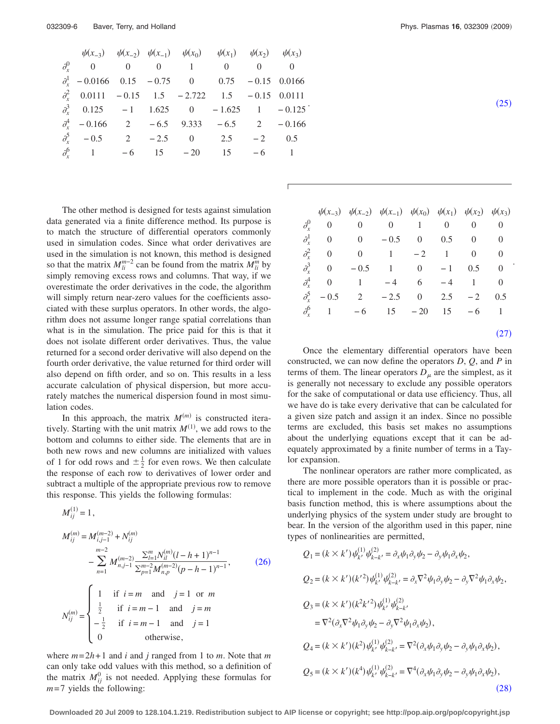<span id="page-5-0"></span>

| $\psi(x_{-3})$ $\psi(x_{-2})$ $\psi(x_{-1})$ $\psi(x_0)$ $\psi(x_1)$ $\psi(x_2)$ $\psi(x_3)$ |  |  |  |
|----------------------------------------------------------------------------------------------|--|--|--|
| $\partial_r^0$ 0 0 0 1 0 0 0                                                                 |  |  |  |
| $\partial_x^1$ - 0.0166 0.15 - 0.75 0 0.75 - 0.15 0.0166                                     |  |  |  |
| $\partial_r^2$ 0.0111 - 0.15 1.5 - 2.722 1.5 - 0.15 0.0111                                   |  |  |  |
| $\partial_r^3$ 0.125 -1 1.625 0 -1.625 1 -0.125                                              |  |  |  |
| $\partial_{\rm r}^4$ - 0.166 2 - 6.5 9.333 - 6.5 2 - 0.166                                   |  |  |  |
| $\partial_{\rm r}^5$ - 0.5 2 - 2.5 0 2.5 - 2 0.5                                             |  |  |  |
| $\partial_r^6$ 1 -6 15 -20 15 -6 1                                                           |  |  |  |

The other method is designed for tests against simulation data generated via a finite difference method. Its purpose is to match the structure of differential operators commonly used in simulation codes. Since what order derivatives are used in the simulation is not known, this method is designed so that the matrix  $M_{li}^{m-2}$  can be found from the matrix  $M_{li}^m$  by simply removing excess rows and columns. That way, if we overestimate the order derivatives in the code, the algorithm will simply return near-zero values for the coefficients associated with these surplus operators. In other words, the algorithm does not assume longer range spatial correlations than what is in the simulation. The price paid for this is that it does not isolate different order derivatives. Thus, the value returned for a second order derivative will also depend on the fourth order derivative, the value returned for third order will also depend on fifth order, and so on. This results in a less accurate calculation of physical dispersion, but more accurately matches the numerical dispersion found in most simulation codes.

In this approach, the matrix  $M^{(m)}$  is constructed iteratively. Starting with the unit matrix  $M^{(1)}$ , we add rows to the bottom and columns to either side. The elements that are in both new rows and new columns are initialized with values of 1 for odd rows and  $\pm \frac{1}{2}$  for even rows. We then calculate the response of each row to derivatives of lower order and subtract a multiple of the appropriate previous row to remove this response. This yields the following formulas:

<span id="page-5-1"></span>
$$
M_{ij}^{(1)} = 1,
$$
  
\n
$$
M_{ij}^{(m)} = M_{i,j-1}^{(m-2)} + N_{ij}^{(m)}
$$
  
\n
$$
- \sum_{n=1}^{m-2} M_{n,j-1}^{(m-2)} \frac{\sum_{l=1}^{m} N_{il}^{(m)} (l-h+1)^{n-1}}{\sum_{p=1}^{m-2} M_{n,p}^{(m-2)} (p-h-1)^{n-1}},
$$
\n(26)  
\n
$$
N_{ij}^{(m)} = \begin{cases} 1 & \text{if } i=m \text{ and } j=1 \text{ or } m \\ \frac{1}{2} & \text{if } i=m-1 \text{ and } j=m \\ -\frac{1}{2} & \text{if } i=m-1 \text{ and } j=1 \\ 0 & \text{otherwise,} \end{cases}
$$

where  $m = 2h + 1$  and *i* and *j* ranged from 1 to *m*. Note that *m* can only take odd values with this method, so a definition of the matrix  $M_{ij}^0$  is not needed. Applying these formulas for  $m=7$  yields the following:

$$
\tag{25}
$$

|                            | $\psi(x_{-3})$ $\psi(x_{-2})$ $\psi(x_{-1})$ $\psi(x_0)$ $\psi(x_1)$ $\psi(x_2)$ $\psi(x_3)$ |  |            |     |
|----------------------------|----------------------------------------------------------------------------------------------|--|------------|-----|
|                            | $\partial_r^0$ 0 0 0 1 0 0 0                                                                 |  |            |     |
|                            | $\partial_r^1$ 0 0 - 0.5 0 0.5 0 0                                                           |  |            |     |
|                            | $\partial_r^2$ 0 0 1 -2 1 0 0                                                                |  |            |     |
|                            | $\partial_r^3$ 0 - 0.5 1 0 - 1 0.5 0                                                         |  |            |     |
|                            | $\partial_r^4$ 0 1 -4 6 -4 1 0                                                               |  |            |     |
| $\partial_{\rm r}^5$ - 0.5 | $2 - 2.5$                                                                                    |  | 0 2.5 $-2$ | 0.5 |
|                            | $\partial_{\tau}^{6}$ 1 -6 15 -20 15 -6 1                                                    |  |            |     |
|                            |                                                                                              |  |            |     |

 $(27)$  $(27)$  $(27)$ 

<span id="page-5-2"></span>Once the elementary differential operators have been constructed, we can now define the operators *D*, *Q*, and *P* in terms of them. The linear operators  $D<sub>u</sub>$  are the simplest, as it is generally not necessary to exclude any possible operators for the sake of computational or data use efficiency. Thus, all we have do is take every derivative that can be calculated for a given size patch and assign it an index. Since no possible terms are excluded, this basis set makes no assumptions about the underlying equations except that it can be adequately approximated by a finite number of terms in a Taylor expansion.

The nonlinear operators are rather more complicated, as there are more possible operators than it is possible or practical to implement in the code. Much as with the original basis function method, this is where assumptions about the underlying physics of the system under study are brought to bear. In the version of the algorithm used in this paper, nine types of nonlinearities are permitted,

<span id="page-5-3"></span>
$$
Q_{1} = (k \times k') \psi_{k'}^{(1)} \psi_{k-k'}^{(2)} = \partial_{x} \psi_{1} \partial_{y} \psi_{2} - \partial_{y} \psi_{1} \partial_{x} \psi_{2},
$$
  
\n
$$
Q_{2} = (k \times k') (k'^{2}) \psi_{k'}^{(1)} \psi_{k-k'}^{(2)} = \partial_{x} \nabla^{2} \psi_{1} \partial_{y} \psi_{2} - \partial_{y} \nabla^{2} \psi_{1} \partial_{x} \psi_{2},
$$
  
\n
$$
Q_{3} = (k \times k') (k^{2} k'^{2}) \psi_{k'}^{(1)} \psi_{k-k'}^{(2)}
$$
  
\n
$$
= \nabla^{2} (\partial_{x} \nabla^{2} \psi_{1} \partial_{y} \psi_{2} - \partial_{y} \nabla^{2} \psi_{1} \partial_{x} \psi_{2}),
$$
  
\n
$$
Q_{4} = (k \times k') (k^{2}) \psi_{k'}^{(1)} \psi_{k-k'}^{(2)} = \nabla^{2} (\partial_{x} \psi_{1} \partial_{y} \psi_{2} - \partial_{y} \psi_{1} \partial_{x} \psi_{2}),
$$
  
\n
$$
Q_{5} = (k \times k') (k^{4}) \psi_{k'}^{(1)} \psi_{k-k'}^{(2)} = \nabla^{4} (\partial_{x} \psi_{1} \partial_{y} \psi_{2} - \partial_{y} \psi_{1} \partial_{x} \psi_{2}),
$$
  
\n(28)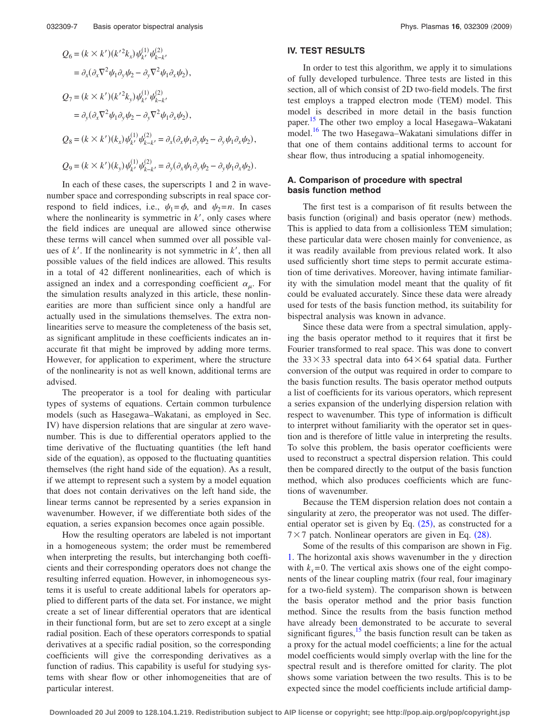$$
Q_{6} = (k \times k') (k'^{2}k_{x}) \psi_{k'}^{(1)} \psi_{k-k'}^{(2)}
$$
  
\n
$$
= \partial_{x} (\partial_{x} \nabla^{2} \psi_{1} \partial_{y} \psi_{2} - \partial_{y} \nabla^{2} \psi_{1} \partial_{x} \psi_{2}),
$$
  
\n
$$
Q_{7} = (k \times k') (k'^{2}k_{y}) \psi_{k'}^{(1)} \psi_{k-k'}^{(2)}
$$
  
\n
$$
= \partial_{y} (\partial_{x} \nabla^{2} \psi_{1} \partial_{y} \psi_{2} - \partial_{y} \nabla^{2} \psi_{1} \partial_{x} \psi_{2}),
$$
  
\n
$$
Q_{8} = (k \times k') (k_{x}) \psi_{k'}^{(1)} \psi_{k-k'}^{(2)} = \partial_{x} (\partial_{x} \psi_{1} \partial_{y} \psi_{2} - \partial_{y} \psi_{1} \partial_{x} \psi_{2}),
$$
  
\n
$$
Q_{9} = (k \times k') (k_{y}) \psi_{k'}^{(1)} \psi_{k-k'}^{(2)} = \partial_{y} (\partial_{x} \psi_{1} \partial_{y} \psi_{2} - \partial_{y} \psi_{1} \partial_{x} \psi_{2}).
$$

In each of these cases, the superscripts 1 and 2 in wavenumber space and corresponding subscripts in real space correspond to field indices, i.e.,  $\psi_1 = \phi$ , and  $\psi_2 = n$ . In cases where the nonlinearity is symmetric in  $k'$ , only cases where the field indices are unequal are allowed since otherwise these terms will cancel when summed over all possible values of  $k'$ . If the nonlinearity is not symmetric in  $k'$ , then all possible values of the field indices are allowed. This results in a total of 42 different nonlinearities, each of which is assigned an index and a corresponding coefficient  $\alpha_{\mu}$ . For the simulation results analyzed in this article, these nonlinearities are more than sufficient since only a handful are actually used in the simulations themselves. The extra nonlinearities serve to measure the completeness of the basis set, as significant amplitude in these coefficients indicates an inaccurate fit that might be improved by adding more terms. However, for application to experiment, where the structure of the nonlinearity is not as well known, additional terms are advised.

The preoperator is a tool for dealing with particular types of systems of equations. Certain common turbulence models (such as Hasegawa–Wakatani, as employed in Sec. IV) have dispersion relations that are singular at zero wavenumber. This is due to differential operators applied to the time derivative of the fluctuating quantities (the left hand side of the equation), as opposed to the fluctuating quantities themselves (the right hand side of the equation). As a result, if we attempt to represent such a system by a model equation that does not contain derivatives on the left hand side, the linear terms cannot be represented by a series expansion in wavenumber. However, if we differentiate both sides of the equation, a series expansion becomes once again possible.

How the resulting operators are labeled is not important in a homogeneous system; the order must be remembered when interpreting the results, but interchanging both coefficients and their corresponding operators does not change the resulting inferred equation. However, in inhomogeneous systems it is useful to create additional labels for operators applied to different parts of the data set. For instance, we might create a set of linear differential operators that are identical in their functional form, but are set to zero except at a single radial position. Each of these operators corresponds to spatial derivatives at a specific radial position, so the corresponding coefficients will give the corresponding derivatives as a function of radius. This capability is useful for studying systems with shear flow or other inhomogeneities that are of particular interest.

#### **IV. TEST RESULTS**

In order to test this algorithm, we apply it to simulations of fully developed turbulence. Three tests are listed in this section, all of which consist of 2D two-field models. The first test employs a trapped electron mode (TEM) model. This model is described in more detail in the basis function paper.<sup>[15](#page-9-8)</sup> The other two employ a local Hasegawa–Wakatani model.<sup>16</sup> The two Hasegawa–Wakatani simulations differ in that one of them contains additional terms to account for shear flow, thus introducing a spatial inhomogeneity.

## **A. Comparison of procedure with spectral basis function method**

The first test is a comparison of fit results between the basis function (original) and basis operator (new) methods. This is applied to data from a collisionless TEM simulation; these particular data were chosen mainly for convenience, as it was readily available from previous related work. It also used sufficiently short time steps to permit accurate estimation of time derivatives. Moreover, having intimate familiarity with the simulation model meant that the quality of fit could be evaluated accurately. Since these data were already used for tests of the basis function method, its suitability for bispectral analysis was known in advance.

Since these data were from a spectral simulation, applying the basis operator method to it requires that it first be Fourier transformed to real space. This was done to convert the  $33 \times 33$  spectral data into  $64 \times 64$  spatial data. Further conversion of the output was required in order to compare to the basis function results. The basis operator method outputs a list of coefficients for its various operators, which represent a series expansion of the underlying dispersion relation with respect to wavenumber. This type of information is difficult to interpret without familiarity with the operator set in question and is therefore of little value in interpreting the results. To solve this problem, the basis operator coefficients were used to reconstruct a spectral dispersion relation. This could then be compared directly to the output of the basis function method, which also produces coefficients which are functions of wavenumber.

Because the TEM dispersion relation does not contain a singularity at zero, the preoperator was not used. The differential operator set is given by Eq.  $(25)$  $(25)$  $(25)$ , as constructed for a  $7 \times 7$  patch. Nonlinear operators are given in Eq. ([28](#page-5-3)).

Some of the results of this comparison are shown in Fig. [1.](#page-7-0) The horizontal axis shows wavenumber in the *y* direction with  $k_x = 0$ . The vertical axis shows one of the eight components of the linear coupling matrix (four real, four imaginary for a two-field system). The comparison shown is between the basis operator method and the prior basis function method. Since the results from the basis function method have already been demonstrated to be accurate to several significant figures, $15$  the basis function result can be taken as a proxy for the actual model coefficients; a line for the actual model coefficients would simply overlap with the line for the spectral result and is therefore omitted for clarity. The plot shows some variation between the two results. This is to be expected since the model coefficients include artificial damp-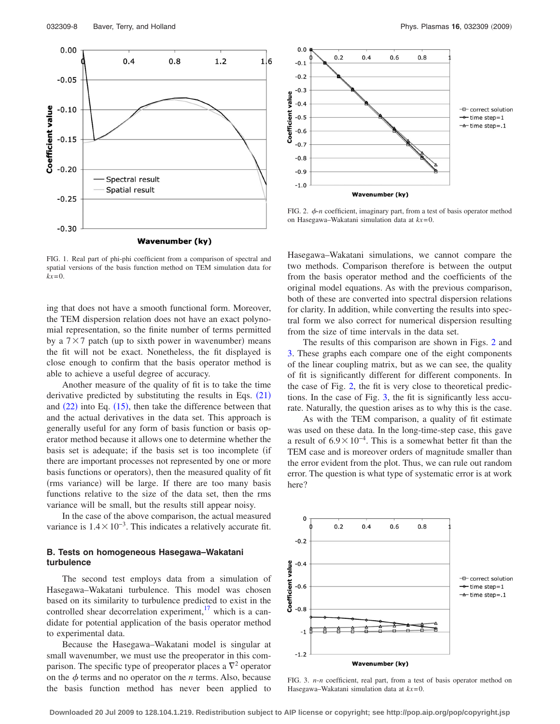<span id="page-7-0"></span>

FIG. 1. Real part of phi-phi coefficient from a comparison of spectral and spatial versions of the basis function method on TEM simulation data for *kx*=0.

ing that does not have a smooth functional form. Moreover, the TEM dispersion relation does not have an exact polynomial representation, so the finite number of terms permitted by a  $7 \times 7$  patch (up to sixth power in wavenumber) means the fit will not be exact. Nonetheless, the fit displayed is close enough to confirm that the basis operator method is able to achieve a useful degree of accuracy.

Another measure of the quality of fit is to take the time derivative predicted by substituting the results in Eqs.  $(21)$  $(21)$  $(21)$ and  $(22)$  $(22)$  $(22)$  into Eq.  $(15)$  $(15)$  $(15)$ , then take the difference between that and the actual derivatives in the data set. This approach is generally useful for any form of basis function or basis operator method because it allows one to determine whether the basis set is adequate; if the basis set is too incomplete (if there are important processes not represented by one or more basis functions or operators), then the measured quality of fit (rms variance) will be large. If there are too many basis functions relative to the size of the data set, then the rms variance will be small, but the results still appear noisy.

In the case of the above comparison, the actual measured variance is  $1.4 \times 10^{-3}$ . This indicates a relatively accurate fit.

## **B. Tests on homogeneous Hasegawa–Wakatani turbulence**

The second test employs data from a simulation of Hasegawa–Wakatani turbulence. This model was chosen based on its similarity to turbulence predicted to exist in the controlled shear decorrelation experiment, $\frac{17}{17}$  which is a candidate for potential application of the basis operator method to experimental data.

Because the Hasegawa–Wakatani model is singular at small wavenumber, we must use the preoperator in this comparison. The specific type of preoperator places a  $\nabla^2$  operator on the  $\phi$  terms and no operator on the *n* terms. Also, because the basis function method has never been applied to

<span id="page-7-1"></span>

FIG. 2.  $\phi$ -*n* coefficient, imaginary part, from a test of basis operator method on Hasegawa–Wakatani simulation data at *kx*=0.

Hasegawa–Wakatani simulations, we cannot compare the two methods. Comparison therefore is between the output from the basis operator method and the coefficients of the original model equations. As with the previous comparison, both of these are converted into spectral dispersion relations for clarity. In addition, while converting the results into spectral form we also correct for numerical dispersion resulting from the size of time intervals in the data set.

The results of this comparison are shown in Figs. [2](#page-7-1) and [3.](#page-7-2) These graphs each compare one of the eight components of the linear coupling matrix, but as we can see, the quality of fit is significantly different for different components. In the case of Fig. [2,](#page-7-1) the fit is very close to theoretical predictions. In the case of Fig. [3,](#page-7-2) the fit is significantly less accurate. Naturally, the question arises as to why this is the case.

As with the TEM comparison, a quality of fit estimate was used on these data. In the long-time-step case, this gave a result of  $6.9 \times 10^{-4}$ . This is a somewhat better fit than the TEM case and is moreover orders of magnitude smaller than the error evident from the plot. Thus, we can rule out random error. The question is what type of systematic error is at work here?

<span id="page-7-2"></span>

FIG. 3. *n*-*n* coefficient, real part, from a test of basis operator method on Hasegawa–Wakatani simulation data at *kx*=0.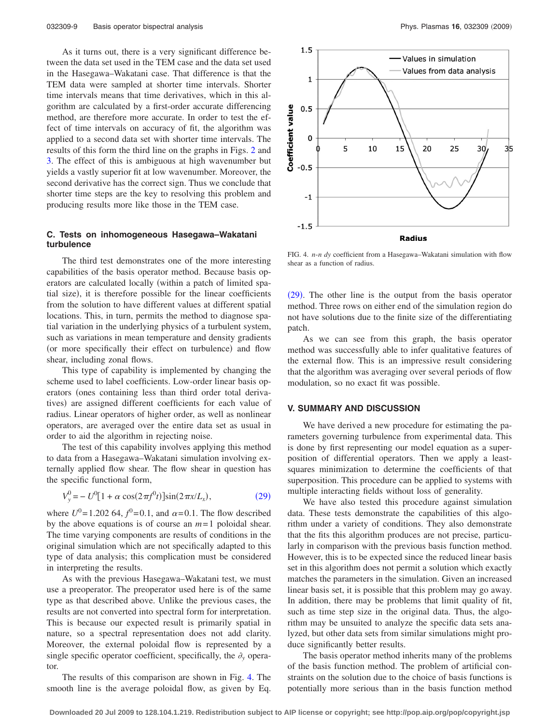As it turns out, there is a very significant difference between the data set used in the TEM case and the data set used in the Hasegawa–Wakatani case. That difference is that the TEM data were sampled at shorter time intervals. Shorter time intervals means that time derivatives, which in this algorithm are calculated by a first-order accurate differencing method, are therefore more accurate. In order to test the effect of time intervals on accuracy of fit, the algorithm was applied to a second data set with shorter time intervals. The results of this form the third line on the graphs in Figs. [2](#page-7-1) and [3.](#page-7-2) The effect of this is ambiguous at high wavenumber but yields a vastly superior fit at low wavenumber. Moreover, the second derivative has the correct sign. Thus we conclude that shorter time steps are the key to resolving this problem and producing results more like those in the TEM case.

## **C. Tests on inhomogeneous Hasegawa–Wakatani turbulence**

The third test demonstrates one of the more interesting capabilities of the basis operator method. Because basis operators are calculated locally (within a patch of limited spatial size), it is therefore possible for the linear coefficients from the solution to have different values at different spatial locations. This, in turn, permits the method to diagnose spatial variation in the underlying physics of a turbulent system, such as variations in mean temperature and density gradients (or more specifically their effect on turbulence) and flow shear, including zonal flows.

This type of capability is implemented by changing the scheme used to label coefficients. Low-order linear basis operators (ones containing less than third order total derivatives) are assigned different coefficients for each value of radius. Linear operators of higher order, as well as nonlinear operators, are averaged over the entire data set as usual in order to aid the algorithm in rejecting noise.

The test of this capability involves applying this method to data from a Hasegawa–Wakatani simulation involving externally applied flow shear. The flow shear in question has the specific functional form,

$$
V_y^0 = -U^0[1 + \alpha \cos(2\pi f^0 t)]\sin(2\pi x/L_x),
$$
 (29)

<span id="page-8-0"></span>where  $U^0 = 1.202\,64, f^0 = 0.1$ , and  $\alpha = 0.1$ . The flow described by the above equations is of course an *m*= 1 poloidal shear. The time varying components are results of conditions in the original simulation which are not specifically adapted to this type of data analysis; this complication must be considered in interpreting the results.

As with the previous Hasegawa–Wakatani test, we must use a preoperator. The preoperator used here is of the same type as that described above. Unlike the previous cases, the results are not converted into spectral form for interpretation. This is because our expected result is primarily spatial in nature, so a spectral representation does not add clarity. Moreover, the external poloidal flow is represented by a single specific operator coefficient, specifically, the  $\partial_{\bf{v}}$  operator.

The results of this comparison are shown in Fig. [4.](#page-8-1) The smooth line is the average poloidal flow, as given by Eq.

<span id="page-8-1"></span>

FIG. 4. *n*-*n dy* coefficient from a Hasegawa–Wakatani simulation with flow shear as a function of radius.

([29](#page-8-0)). The other line is the output from the basis operator method. Three rows on either end of the simulation region do not have solutions due to the finite size of the differentiating patch.

As we can see from this graph, the basis operator method was successfully able to infer qualitative features of the external flow. This is an impressive result considering that the algorithm was averaging over several periods of flow modulation, so no exact fit was possible.

#### **V. SUMMARY AND DISCUSSION**

We have derived a new procedure for estimating the parameters governing turbulence from experimental data. This is done by first representing our model equation as a superposition of differential operators. Then we apply a leastsquares minimization to determine the coefficients of that superposition. This procedure can be applied to systems with multiple interacting fields without loss of generality.

We have also tested this procedure against simulation data. These tests demonstrate the capabilities of this algorithm under a variety of conditions. They also demonstrate that the fits this algorithm produces are not precise, particularly in comparison with the previous basis function method. However, this is to be expected since the reduced linear basis set in this algorithm does not permit a solution which exactly matches the parameters in the simulation. Given an increased linear basis set, it is possible that this problem may go away. In addition, there may be problems that limit quality of fit, such as time step size in the original data. Thus, the algorithm may be unsuited to analyze the specific data sets analyzed, but other data sets from similar simulations might produce significantly better results.

The basis operator method inherits many of the problems of the basis function method. The problem of artificial constraints on the solution due to the choice of basis functions is potentially more serious than in the basis function method